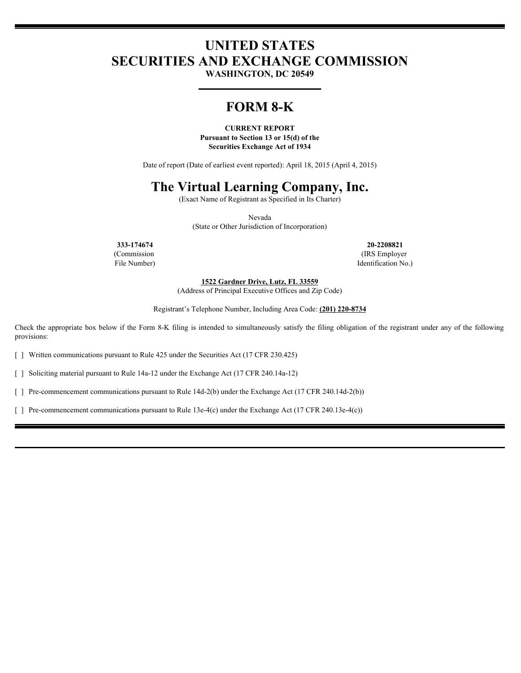# **UNITED STATES SECURITIES AND EXCHANGE COMMISSION**

**WASHINGTON, DC 20549**

# **FORM 8-K**

**CURRENT REPORT Pursuant to Section 13 or 15(d) of the Securities Exchange Act of 1934**

Date of report (Date of earliest event reported): April 18, 2015 (April 4, 2015)

# **The Virtual Learning Company, Inc.**

(Exact Name of Registrant as Specified in Its Charter)

Nevada (State or Other Jurisdiction of Incorporation)

(Commission File Number)

**333-174674 20-2208821** (IRS Employer Identification No.)

**1522 Gardner Drive, Lutz, FL 33559**

(Address of Principal Executive Offices and Zip Code)

Registrant's Telephone Number, Including Area Code: **(201) 220-8734**

Check the appropriate box below if the Form 8-K filing is intended to simultaneously satisfy the filing obligation of the registrant under any of the following provisions:

[ ] Written communications pursuant to Rule 425 under the Securities Act (17 CFR 230.425)

[ ] Soliciting material pursuant to Rule 14a-12 under the Exchange Act (17 CFR 240.14a-12)

[ ] Pre-commencement communications pursuant to Rule 14d-2(b) under the Exchange Act (17 CFR 240.14d-2(b))

[ ] Pre-commencement communications pursuant to Rule 13e-4(c) under the Exchange Act (17 CFR 240.13e-4(c))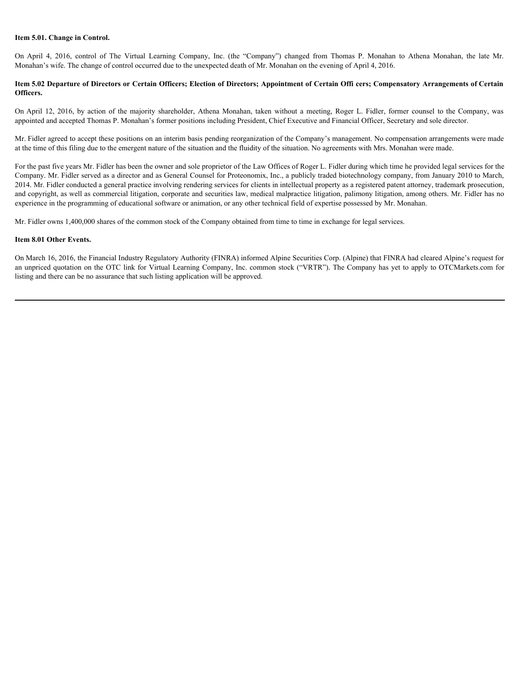### **Item 5.01. Change in Control.**

Monahan's wife. The change of control occurred due to the unexpected death of Mr. Monahan on the evening of April 4, 2016.

# Item 5.01. Change in Control.<br>On April 4, 2016, control of The Virtual Learning Company, Inc. (the "Company") changed from Thomas P. Monahan to Athena Monahan, the late Mr.<br>Monahan's wife. The change of control occurred du **Item 5.02 Departure of Directors or Certain Officers; Election of Directors; Appointment of Certain Offi cers; Compensatory Arrangements of Certain Officers.**

appointed and accepted Thomas P. Monahan's former positions including President, Chief Executive and Financial Officer, Secretary and sole director.

Mr. Fidler agreed to accept these positions on an interim basis pending reorganization of the Company's management. No compensation arrangements were made at the time of this filing due to the emergent nature of the situation and the fluidity of the situation. No agreements with Mrs. Monahan were made.

Item 5.01. Change in Control.<br>
On April 4, 2016, control of The Virtual Learning Company, Inc. (the "Company") changed from Thomas P. Monahan to Athena Monahan, the late Mr.<br>
Monahan's wife. The change of control occurred For the past five years Mr. Fidler has been the owner and sole proprietor of the Law Offices of Roger L. Fidler during which time he provided legal services for the Company. Mr. Fidler served as a director and as General Counsel for Proteonomix, Inc., a publicly traded biotechnology company, from January 2010 to March, 2014. Mr. Fidler conducted a general practice involving rendering services for clients in intellectual property as a registered patent attorney, trademark prosecution, and copyright, as well as commercial litigation, corporate and securities law, medical malpractice litigation, palimony litigation, among others. Mr. Fidler has no experience in the programming of educational software or animation, or any other technical field of expertise possessed by Mr. Monahan.

Mr. Fidler owns 1,400,000 shares of the common stock of the Company obtained from time to time in exchange for legal services.

### **Item 8.01 Other Events.**

On March 16, 2016, the Financial Industry Regulatory Authority (FINRA) informed Alpine Securities Corp. (Alpine) that FINRA had cleared Alpine's request for an unpriced quotation on the OTC link for Virtual Learning Company, Inc. common stock ("VRTR"). The Company has yet to apply to OTCMarkets.com for listing and there can be no assurance that such listing application will be approved.